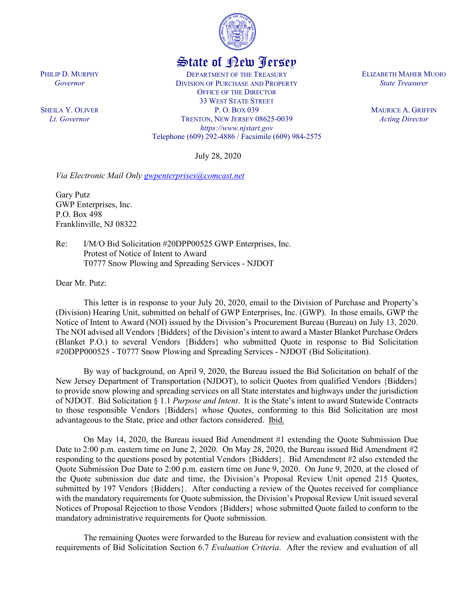

## State of New Jersey

DEPARTMENT OF THE TREASURY DIVISION OF PURCHASE AND PROPERTY OFFICE OF THE DIRECTOR 33 WEST STATE STREET P. O. BOX 039 TRENTON, NEW JERSEY 08625-0039 *https://www.njstart.gov* Telephone (609) 292-4886 / Facsimile (609) 984-2575

July 28, 2020

*Via Electronic Mail Only [gwpenterprises@comcast.net](mailto:gwpenterprises@comcast.net)*

Gary Putz GWP Enterprises, Inc. P.O. Box 498 Franklinville, NJ 08322

PHILIP D. MURPHY *Governor*

SHEILA Y. OLIVER *Lt. Governor*

> Re: I/M/O Bid Solicitation #20DPP00525 GWP Enterprises, Inc. Protest of Notice of Intent to Award T0777 Snow Plowing and Spreading Services - NJDOT

Dear Mr. Putz:

This letter is in response to your July 20, 2020, email to the Division of Purchase and Property's (Division) Hearing Unit, submitted on behalf of GWP Enterprises, Inc. (GWP). In those emails, GWP the Notice of Intent to Award (NOI) issued by the Division's Procurement Bureau (Bureau) on July 13, 2020. The NOI advised all Vendors {Bidders} of the Division's intent to award a Master Blanket Purchase Orders (Blanket P.O.) to several Vendors {Bidders} who submitted Quote in response to Bid Solicitation #20DPP000525 - T0777 Snow Plowing and Spreading Services - NJDOT (Bid Solicitation).

By way of background, on April 9, 2020, the Bureau issued the Bid Solicitation on behalf of the New Jersey Department of Transportation (NJDOT), to solicit Quotes from qualified Vendors {Bidders} to provide snow plowing and spreading services on all State interstates and highways under the jurisdiction of NJDOT. Bid Solicitation § 1.1 *Purpose and Intent*. It is the State's intent to award Statewide Contracts to those responsible Vendors {Bidders} whose Quotes, conforming to this Bid Solicitation are most advantageous to the State, price and other factors considered. Ibid.

On May 14, 2020, the Bureau issued Bid Amendment #1 extending the Quote Submission Due Date to 2:00 p.m. eastern time on June 2, 2020. On May 28, 2020, the Bureau issued Bid Amendment #2 responding to the questions posed by potential Vendors {Bidders}. Bid Amendment #2 also extended the Quote Submission Due Date to 2:00 p.m. eastern time on June 9, 2020. On June 9, 2020, at the closed of the Quote submission due date and time, the Division's Proposal Review Unit opened 215 Quotes, submitted by 197 Vendors {Bidders}. After conducting a review of the Quotes received for compliance with the mandatory requirements for Quote submission, the Division's Proposal Review Unit issued several Notices of Proposal Rejection to those Vendors {Bidders} whose submitted Quote failed to conform to the mandatory administrative requirements for Quote submission.

The remaining Quotes were forwarded to the Bureau for review and evaluation consistent with the requirements of Bid Solicitation Section 6.7 *Evaluation Criteria*. After the review and evaluation of all

ELIZABETH MAHER MUOIO *State Treasurer*

> MAURICE A. GRIFFIN *Acting Director*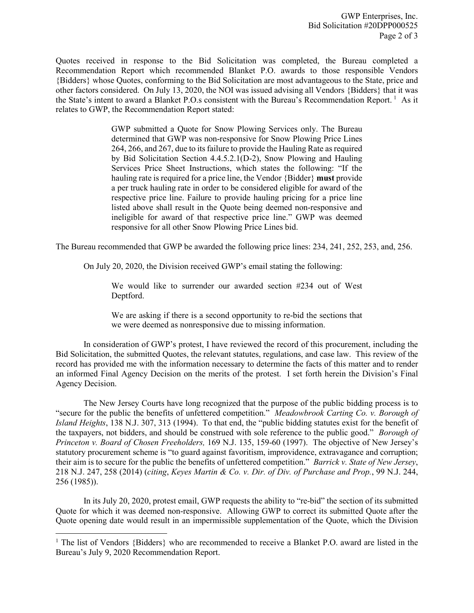Quotes received in response to the Bid Solicitation was completed, the Bureau completed a Recommendation Report which recommended Blanket P.O. awards to those responsible Vendors {Bidders} whose Quotes, conforming to the Bid Solicitation are most advantageous to the State, price and other factors considered. On July 13, 2020, the NOI was issued advising all Vendors {Bidders} that it was the State's intent to award a Blanket P.O.s consistent with the Bureau's Recommendation Report.<sup>[1](#page-1-0)</sup> As it relates to GWP, the Recommendation Report stated:

> GWP submitted a Quote for Snow Plowing Services only. The Bureau determined that GWP was non-responsive for Snow Plowing Price Lines 264, 266, and 267, due to its failure to provide the Hauling Rate as required by Bid Solicitation Section 4.4.5.2.1(D-2), Snow Plowing and Hauling Services Price Sheet Instructions, which states the following: "If the hauling rate is required for a price line, the Vendor {Bidder} **must** provide a per truck hauling rate in order to be considered eligible for award of the respective price line. Failure to provide hauling pricing for a price line listed above shall result in the Quote being deemed non-responsive and ineligible for award of that respective price line." GWP was deemed responsive for all other Snow Plowing Price Lines bid.

The Bureau recommended that GWP be awarded the following price lines: 234, 241, 252, 253, and, 256.

On July 20, 2020, the Division received GWP's email stating the following:

We would like to surrender our awarded section #234 out of West Deptford.

We are asking if there is a second opportunity to re-bid the sections that we were deemed as nonresponsive due to missing information.

In consideration of GWP's protest, I have reviewed the record of this procurement, including the Bid Solicitation, the submitted Quotes, the relevant statutes, regulations, and case law. This review of the record has provided me with the information necessary to determine the facts of this matter and to render an informed Final Agency Decision on the merits of the protest. I set forth herein the Division's Final Agency Decision.

The New Jersey Courts have long recognized that the purpose of the public bidding process is to "secure for the public the benefits of unfettered competition." *Meadowbrook Carting Co. v. Borough of Island Heights*, 138 N.J. 307, 313 (1994). To that end, the "public bidding statutes exist for the benefit of the taxpayers, not bidders, and should be construed with sole reference to the public good." *Borough of Princeton v. Board of Chosen Freeholders,* 169 N.J. 135, 159-60 (1997). The objective of New Jersey's statutory procurement scheme is "to guard against favoritism, improvidence, extravagance and corruption; their aim is to secure for the public the benefits of unfettered competition." *Barrick v. State of New Jersey*, 218 N.J. 247, 258 (2014) (*citing*, *Keyes Martin & Co. v. Dir. of Div. of Purchase and Prop.*, 99 N.J. 244, 256 (1985)).

In its July 20, 2020, protest email, GWP requests the ability to "re-bid" the section of its submitted Quote for which it was deemed non-responsive. Allowing GWP to correct its submitted Quote after the Quote opening date would result in an impermissible supplementation of the Quote, which the Division

l

<span id="page-1-0"></span><sup>&</sup>lt;sup>1</sup> The list of Vendors {Bidders} who are recommended to receive a Blanket P.O. award are listed in the Bureau's July 9, 2020 Recommendation Report.